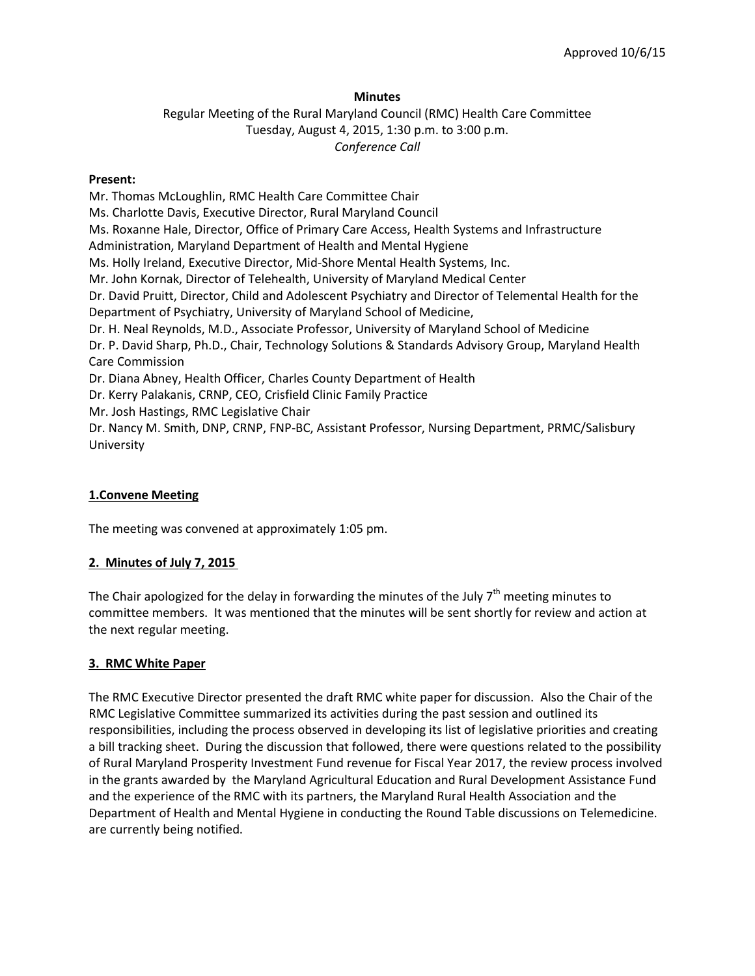### **Minutes**

Regular Meeting of the Rural Maryland Council (RMC) Health Care Committee Tuesday, August 4, 2015, 1:30 p.m. to 3:00 p.m. *Conference Call*

#### **Present:**

Mr. Thomas McLoughlin, RMC Health Care Committee Chair Ms. Charlotte Davis, Executive Director, Rural Maryland Council Ms. Roxanne Hale, Director, Office of Primary Care Access, Health Systems and Infrastructure Administration, Maryland Department of Health and Mental Hygiene Ms. Holly Ireland, Executive Director, Mid-Shore Mental Health Systems, Inc. Mr. John Kornak, Director of Telehealth, University of Maryland Medical Center Dr. David Pruitt, Director, Child and Adolescent Psychiatry and Director of Telemental Health for the Department of Psychiatry, University of Maryland School of Medicine, Dr. H. Neal Reynolds, M.D., Associate Professor, University of Maryland School of Medicine Dr. P. David Sharp, Ph.D., Chair, Technology Solutions & Standards Advisory Group, Maryland Health Care Commission Dr. Diana Abney, Health Officer, Charles County Department of Health Dr. Kerry Palakanis, CRNP, CEO, Crisfield Clinic Family Practice Mr. Josh Hastings, RMC Legislative Chair Dr. Nancy M. Smith, DNP, CRNP, FNP-BC, Assistant Professor, Nursing Department, PRMC/Salisbury University

## **1.Convene Meeting**

The meeting was convened at approximately 1:05 pm.

#### **2. Minutes of July 7, 2015**

The Chair apologized for the delay in forwarding the minutes of the July  $7<sup>th</sup>$  meeting minutes to committee members. It was mentioned that the minutes will be sent shortly for review and action at the next regular meeting.

#### **3. RMC White Paper**

The RMC Executive Director presented the draft RMC white paper for discussion. Also the Chair of the RMC Legislative Committee summarized its activities during the past session and outlined its responsibilities, including the process observed in developing its list of legislative priorities and creating a bill tracking sheet. During the discussion that followed, there were questions related to the possibility of Rural Maryland Prosperity Investment Fund revenue for Fiscal Year 2017, the review process involved in the grants awarded by the Maryland Agricultural Education and Rural Development Assistance Fund and the experience of the RMC with its partners, the Maryland Rural Health Association and the Department of Health and Mental Hygiene in conducting the Round Table discussions on Telemedicine. are currently being notified.